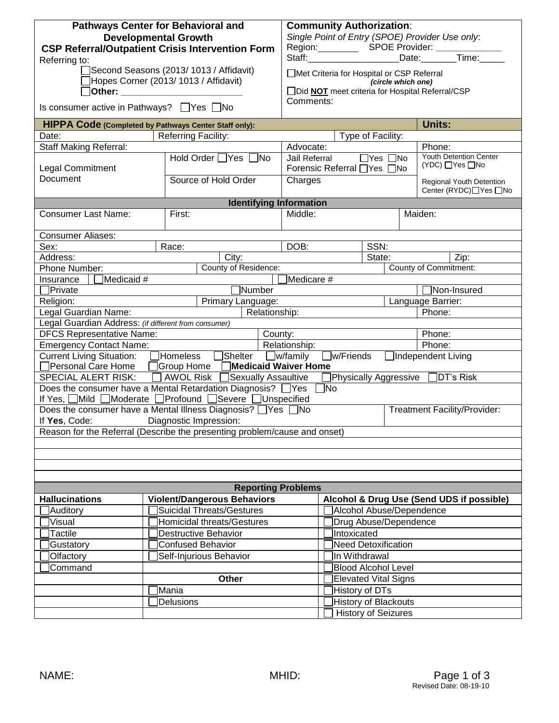| <b>Pathways Center for Behavioral and</b><br><b>Developmental Growth</b><br><b>CSP Referral/Outpatient Crisis Intervention Form</b><br>Referring to:<br>Second Seasons (2013/1013 / Affidavit)<br>Hopes Corner (2013/ 1013 / Affidavit)<br>□Other: ___________________<br>Is consumer active in Pathways? □ Yes □ No<br>HIPPA Code (Completed by Pathways Center Staff only):<br>Date:<br><b>Staff Making Referral:</b><br>Legal Commitment | <b>Community Authorization:</b><br>Single Point of Entry (SPOE) Provider Use only:<br>Region: SPOE Provider: ________<br>Staff:_________________________Date:________Time:_<br>□Met Criteria for Hospital or CSP Referral<br>(circle which one)<br>□Did NOT meet criteria for Hospital Referral/CSP<br>Comments:<br>Units:<br>Type of Facility:<br>Phone:<br>Advocate:<br><b>Youth Detention Center</b><br>$\overline{\Box}$ Yes $\Box$ No<br>Jail Referral<br>(YDC) □ Yes □ No<br>Forensic Referral □ Yes □ No |               |                                           |                                  |  |  |
|---------------------------------------------------------------------------------------------------------------------------------------------------------------------------------------------------------------------------------------------------------------------------------------------------------------------------------------------------------------------------------------------------------------------------------------------|-----------------------------------------------------------------------------------------------------------------------------------------------------------------------------------------------------------------------------------------------------------------------------------------------------------------------------------------------------------------------------------------------------------------------------------------------------------------------------------------------------------------|---------------|-------------------------------------------|----------------------------------|--|--|
| Document                                                                                                                                                                                                                                                                                                                                                                                                                                    | Source of Hold Order                                                                                                                                                                                                                                                                                                                                                                                                                                                                                            | Charges       |                                           | Regional Youth Detention         |  |  |
|                                                                                                                                                                                                                                                                                                                                                                                                                                             | <b>Identifying Information</b>                                                                                                                                                                                                                                                                                                                                                                                                                                                                                  |               | Center (RYDC)□Yes □No                     |                                  |  |  |
| <b>Consumer Last Name:</b>                                                                                                                                                                                                                                                                                                                                                                                                                  | First:                                                                                                                                                                                                                                                                                                                                                                                                                                                                                                          | Middle:       |                                           | Maiden:                          |  |  |
|                                                                                                                                                                                                                                                                                                                                                                                                                                             |                                                                                                                                                                                                                                                                                                                                                                                                                                                                                                                 |               |                                           |                                  |  |  |
| <b>Consumer Aliases:</b>                                                                                                                                                                                                                                                                                                                                                                                                                    |                                                                                                                                                                                                                                                                                                                                                                                                                                                                                                                 |               |                                           |                                  |  |  |
| Sex:                                                                                                                                                                                                                                                                                                                                                                                                                                        | Race:                                                                                                                                                                                                                                                                                                                                                                                                                                                                                                           | DOB:          | SSN:                                      |                                  |  |  |
| Address:                                                                                                                                                                                                                                                                                                                                                                                                                                    | City:                                                                                                                                                                                                                                                                                                                                                                                                                                                                                                           |               | State:<br>Zip:                            |                                  |  |  |
| County of Residence:<br><b>County of Commitment:</b><br>Phone Number:                                                                                                                                                                                                                                                                                                                                                                       |                                                                                                                                                                                                                                                                                                                                                                                                                                                                                                                 |               |                                           |                                  |  |  |
| Medicaid #<br>Medicare #<br>Insurance<br>Number                                                                                                                                                                                                                                                                                                                                                                                             |                                                                                                                                                                                                                                                                                                                                                                                                                                                                                                                 |               |                                           |                                  |  |  |
| Private<br>Religion:                                                                                                                                                                                                                                                                                                                                                                                                                        | Primary Language:                                                                                                                                                                                                                                                                                                                                                                                                                                                                                               |               | Non-Insured<br>Language Barrier:          |                                  |  |  |
| Legal Guardian Name:                                                                                                                                                                                                                                                                                                                                                                                                                        |                                                                                                                                                                                                                                                                                                                                                                                                                                                                                                                 |               | Phone:                                    |                                  |  |  |
| Legal Guardian Address: (if different from consumer)                                                                                                                                                                                                                                                                                                                                                                                        | Relationship:                                                                                                                                                                                                                                                                                                                                                                                                                                                                                                   |               |                                           |                                  |  |  |
| <b>DFCS Representative Name:</b>                                                                                                                                                                                                                                                                                                                                                                                                            | County:                                                                                                                                                                                                                                                                                                                                                                                                                                                                                                         |               |                                           | Phone:                           |  |  |
| <b>Emergency Contact Name:</b>                                                                                                                                                                                                                                                                                                                                                                                                              |                                                                                                                                                                                                                                                                                                                                                                                                                                                                                                                 | Relationship: | Phone:                                    |                                  |  |  |
| <b>Current Living Situation:</b><br>Homeless Shelter W/family<br>$\Box$ w/Friends<br>□Independent Living                                                                                                                                                                                                                                                                                                                                    |                                                                                                                                                                                                                                                                                                                                                                                                                                                                                                                 |               |                                           |                                  |  |  |
| Personal Care Home                                                                                                                                                                                                                                                                                                                                                                                                                          | Group Home Medicaid Waiver Home                                                                                                                                                                                                                                                                                                                                                                                                                                                                                 |               |                                           |                                  |  |  |
| <b>SPECIAL ALERT RISK:</b>                                                                                                                                                                                                                                                                                                                                                                                                                  | □ AWOL Risk □ Sexually Assaultive                                                                                                                                                                                                                                                                                                                                                                                                                                                                               |               |                                           | Physically Aggressive □DT's Risk |  |  |
| Does the consumer have a Mental Retardation Diagnosis? Ves<br>$\Box$ No                                                                                                                                                                                                                                                                                                                                                                     |                                                                                                                                                                                                                                                                                                                                                                                                                                                                                                                 |               |                                           |                                  |  |  |
|                                                                                                                                                                                                                                                                                                                                                                                                                                             | If Yes, OMild OModerate OProfound OSevere OUnspecified                                                                                                                                                                                                                                                                                                                                                                                                                                                          |               |                                           |                                  |  |  |
| If Yes, Code:                                                                                                                                                                                                                                                                                                                                                                                                                               | Does the consumer have a Mental Illness Diagnosis? □ Yes □ No<br>Diagnostic Impression:                                                                                                                                                                                                                                                                                                                                                                                                                         |               | <b>Treatment Facility/Provider:</b>       |                                  |  |  |
| Reason for the Referral (Describe the presenting problem/cause and onset)                                                                                                                                                                                                                                                                                                                                                                   |                                                                                                                                                                                                                                                                                                                                                                                                                                                                                                                 |               |                                           |                                  |  |  |
|                                                                                                                                                                                                                                                                                                                                                                                                                                             |                                                                                                                                                                                                                                                                                                                                                                                                                                                                                                                 |               |                                           |                                  |  |  |
|                                                                                                                                                                                                                                                                                                                                                                                                                                             |                                                                                                                                                                                                                                                                                                                                                                                                                                                                                                                 |               |                                           |                                  |  |  |
|                                                                                                                                                                                                                                                                                                                                                                                                                                             |                                                                                                                                                                                                                                                                                                                                                                                                                                                                                                                 |               |                                           |                                  |  |  |
|                                                                                                                                                                                                                                                                                                                                                                                                                                             |                                                                                                                                                                                                                                                                                                                                                                                                                                                                                                                 |               |                                           |                                  |  |  |
| <b>Reporting Problems</b>                                                                                                                                                                                                                                                                                                                                                                                                                   |                                                                                                                                                                                                                                                                                                                                                                                                                                                                                                                 |               |                                           |                                  |  |  |
| <b>Violent/Dangerous Behaviors</b><br><b>Hallucinations</b>                                                                                                                                                                                                                                                                                                                                                                                 |                                                                                                                                                                                                                                                                                                                                                                                                                                                                                                                 |               | Alcohol & Drug Use (Send UDS if possible) |                                  |  |  |
| Auditory                                                                                                                                                                                                                                                                                                                                                                                                                                    | <b>Suicidal Threats/Gestures</b>                                                                                                                                                                                                                                                                                                                                                                                                                                                                                |               | Alcohol Abuse/Dependence                  |                                  |  |  |
| Visual                                                                                                                                                                                                                                                                                                                                                                                                                                      | Homicidal threats/Gestures                                                                                                                                                                                                                                                                                                                                                                                                                                                                                      |               | Drug Abuse/Dependence                     |                                  |  |  |
| <b>Tactile</b>                                                                                                                                                                                                                                                                                                                                                                                                                              | <b>Destructive Behavior</b>                                                                                                                                                                                                                                                                                                                                                                                                                                                                                     |               | Intoxicated                               |                                  |  |  |
| Gustatory                                                                                                                                                                                                                                                                                                                                                                                                                                   | <b>Confused Behavior</b>                                                                                                                                                                                                                                                                                                                                                                                                                                                                                        |               | Need Detoxification                       |                                  |  |  |
| Olfactory                                                                                                                                                                                                                                                                                                                                                                                                                                   | Self-Injurious Behavior                                                                                                                                                                                                                                                                                                                                                                                                                                                                                         |               | In Withdrawal                             |                                  |  |  |
| Command                                                                                                                                                                                                                                                                                                                                                                                                                                     |                                                                                                                                                                                                                                                                                                                                                                                                                                                                                                                 |               | <b>Blood Alcohol Level</b>                |                                  |  |  |
|                                                                                                                                                                                                                                                                                                                                                                                                                                             | Other                                                                                                                                                                                                                                                                                                                                                                                                                                                                                                           |               | Elevated Vital Signs                      |                                  |  |  |
|                                                                                                                                                                                                                                                                                                                                                                                                                                             | Mania                                                                                                                                                                                                                                                                                                                                                                                                                                                                                                           |               | History of DTs                            |                                  |  |  |
|                                                                                                                                                                                                                                                                                                                                                                                                                                             | Delusions                                                                                                                                                                                                                                                                                                                                                                                                                                                                                                       |               |                                           | History of Blackouts             |  |  |
|                                                                                                                                                                                                                                                                                                                                                                                                                                             |                                                                                                                                                                                                                                                                                                                                                                                                                                                                                                                 |               | <b>History of Seizures</b>                |                                  |  |  |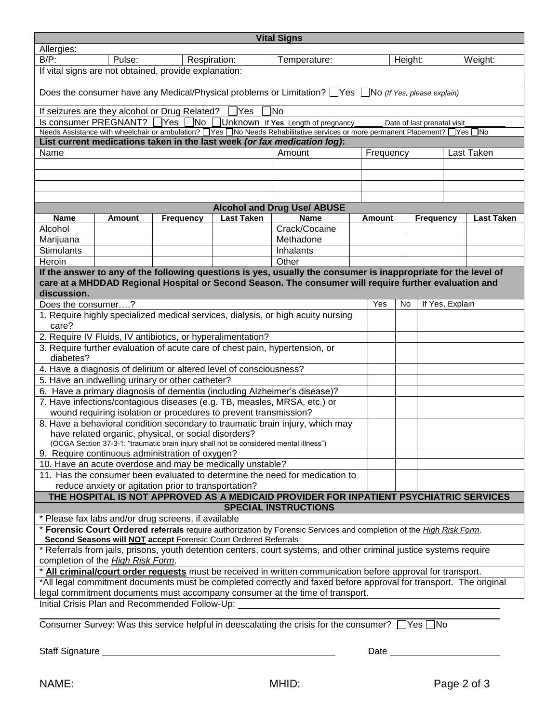| <b>Vital Signs</b>                                                                                                                                                                                                      |        |  |                  |                   |                                                                                                   |        |         |                  |                   |
|-------------------------------------------------------------------------------------------------------------------------------------------------------------------------------------------------------------------------|--------|--|------------------|-------------------|---------------------------------------------------------------------------------------------------|--------|---------|------------------|-------------------|
| Allergies:                                                                                                                                                                                                              |        |  |                  |                   |                                                                                                   |        |         |                  |                   |
| $B/P$ :                                                                                                                                                                                                                 | Pulse: |  | Respiration:     |                   | Temperature:                                                                                      |        | Height: |                  | Weight:           |
| If vital signs are not obtained, provide explanation:                                                                                                                                                                   |        |  |                  |                   |                                                                                                   |        |         |                  |                   |
| Does the consumer have any Medical/Physical problems or Limitation? $\Box$ Yes $\Box$ No (If Yes, please explain)                                                                                                       |        |  |                  |                   |                                                                                                   |        |         |                  |                   |
| 1No<br>If seizures are they alcohol or Drug Related?<br>]Yes                                                                                                                                                            |        |  |                  |                   |                                                                                                   |        |         |                  |                   |
| Is consumer PREGNANT? □ Yes  <br>$\Box$ No<br>Unknown If Yes, Length of pregnancy<br>Date of last prenatal visit                                                                                                        |        |  |                  |                   |                                                                                                   |        |         |                  |                   |
| Needs Assistance with wheelchair or ambulation? UYes UNo Needs Rehabilitative services or more permanent Placement? UYes UNo                                                                                            |        |  |                  |                   |                                                                                                   |        |         |                  |                   |
| List current medications taken in the last week (or fax medication log):<br>Name<br>Amount                                                                                                                              |        |  |                  |                   |                                                                                                   |        |         |                  |                   |
| Last Taken<br>Frequency                                                                                                                                                                                                 |        |  |                  |                   |                                                                                                   |        |         |                  |                   |
|                                                                                                                                                                                                                         |        |  |                  |                   |                                                                                                   |        |         |                  |                   |
|                                                                                                                                                                                                                         |        |  |                  |                   |                                                                                                   |        |         |                  |                   |
|                                                                                                                                                                                                                         |        |  |                  |                   |                                                                                                   |        |         |                  |                   |
|                                                                                                                                                                                                                         |        |  |                  |                   | <b>Alcohol and Drug Use/ ABUSE</b>                                                                |        |         |                  |                   |
| <b>Name</b>                                                                                                                                                                                                             | Amount |  | <b>Frequency</b> | <b>Last Taken</b> | <b>Name</b>                                                                                       | Amount |         | <b>Frequency</b> | <b>Last Taken</b> |
| Alcohol                                                                                                                                                                                                                 |        |  |                  |                   | Crack/Cocaine                                                                                     |        |         |                  |                   |
| Marijuana                                                                                                                                                                                                               |        |  |                  |                   | Methadone                                                                                         |        |         |                  |                   |
| <b>Stimulants</b>                                                                                                                                                                                                       |        |  |                  |                   | Inhalants                                                                                         |        |         |                  |                   |
| Heroin                                                                                                                                                                                                                  |        |  |                  |                   | Other                                                                                             |        |         |                  |                   |
| If the answer to any of the following questions is yes, usually the consumer is inappropriate for the level of<br>care at a MHDDAD Regional Hospital or Second Season. The consumer will require further evaluation and |        |  |                  |                   |                                                                                                   |        |         |                  |                   |
| discussion.                                                                                                                                                                                                             |        |  |                  |                   |                                                                                                   |        |         |                  |                   |
| Does the consumer?                                                                                                                                                                                                      |        |  |                  |                   |                                                                                                   | Yes    | No      | If Yes, Explain  |                   |
| 1. Require highly specialized medical services, dialysis, or high acuity nursing<br>care?                                                                                                                               |        |  |                  |                   |                                                                                                   |        |         |                  |                   |
| 2. Require IV Fluids, IV antibiotics, or hyperalimentation?                                                                                                                                                             |        |  |                  |                   |                                                                                                   |        |         |                  |                   |
| 3. Require further evaluation of acute care of chest pain, hypertension, or<br>diabetes?                                                                                                                                |        |  |                  |                   |                                                                                                   |        |         |                  |                   |
| 4. Have a diagnosis of delirium or altered level of consciousness?                                                                                                                                                      |        |  |                  |                   |                                                                                                   |        |         |                  |                   |
| 5. Have an indwelling urinary or other catheter?                                                                                                                                                                        |        |  |                  |                   |                                                                                                   |        |         |                  |                   |
| 6. Have a primary diagnosis of dementia (including Alzheimer's disease)?                                                                                                                                                |        |  |                  |                   |                                                                                                   |        |         |                  |                   |
| 7. Have infections/contagious diseases (e.g. TB, measles, MRSA, etc.) or                                                                                                                                                |        |  |                  |                   |                                                                                                   |        |         |                  |                   |
| wound requiring isolation or procedures to prevent transmission?                                                                                                                                                        |        |  |                  |                   |                                                                                                   |        |         |                  |                   |
| 8. Have a behavioral condition secondary to traumatic brain injury, which may<br>have related organic, physical, or social disorders?                                                                                   |        |  |                  |                   |                                                                                                   |        |         |                  |                   |
| (OCGA Section 37-3-1: "traumatic brain injury shall not be considered mental illness")<br>9. Require continuous administration of oxygen?                                                                               |        |  |                  |                   |                                                                                                   |        |         |                  |                   |
| 10. Have an acute overdose and may be medically unstable?                                                                                                                                                               |        |  |                  |                   |                                                                                                   |        |         |                  |                   |
| 11. Has the consumer been evaluated to determine the need for medication to                                                                                                                                             |        |  |                  |                   |                                                                                                   |        |         |                  |                   |
| reduce anxiety or agitation prior to transportation?                                                                                                                                                                    |        |  |                  |                   |                                                                                                   |        |         |                  |                   |
| THE HOSPITAL IS NOT APPROVED AS A MEDICAID PROVIDER FOR INPATIENT PSYCHIATRIC SERVICES                                                                                                                                  |        |  |                  |                   |                                                                                                   |        |         |                  |                   |
|                                                                                                                                                                                                                         |        |  |                  |                   | <b>SPECIAL INSTRUCTIONS</b>                                                                       |        |         |                  |                   |
| * Please fax labs and/or drug screens, if available                                                                                                                                                                     |        |  |                  |                   |                                                                                                   |        |         |                  |                   |
| * Forensic Court Ordered referrals require authorization by Forensic Services and completion of the High Risk Form.                                                                                                     |        |  |                  |                   |                                                                                                   |        |         |                  |                   |
| Second Seasons will <b>NOT</b> accept Forensic Court Ordered Referrals                                                                                                                                                  |        |  |                  |                   |                                                                                                   |        |         |                  |                   |
| * Referrals from jails, prisons, youth detention centers, court systems, and other criminal justice systems require<br>completion of the High Risk Form.                                                                |        |  |                  |                   |                                                                                                   |        |         |                  |                   |
| * All criminal/court order requests must be received in written communication before approval for transport.                                                                                                            |        |  |                  |                   |                                                                                                   |        |         |                  |                   |
| *All legal commitment documents must be completed correctly and faxed before approval for transport. The original                                                                                                       |        |  |                  |                   |                                                                                                   |        |         |                  |                   |
| legal commitment documents must accompany consumer at the time of transport.                                                                                                                                            |        |  |                  |                   |                                                                                                   |        |         |                  |                   |
| Initial Crisis Plan and Recommended Follow-Up:                                                                                                                                                                          |        |  |                  |                   |                                                                                                   |        |         |                  |                   |
|                                                                                                                                                                                                                         |        |  |                  |                   | Consumer Survey: Was this service helpful in deescalating the crisis for the consumer? □ Yes □ No |        |         |                  |                   |

Staff Signature Date